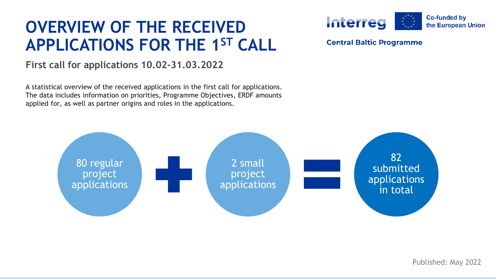# **APPLICATIONS FOR THE 1ST CALL OVERVIEW OF THE RECEIVED**

#### **First call for applications 10.02-31.03.2022**

 A statistical overview of the received applications in the first call for applications. The data includes information on priorities, Programme Objectives, ERDF amounts applied for, as well as partner origins and roles in the applications.





Published: May 2022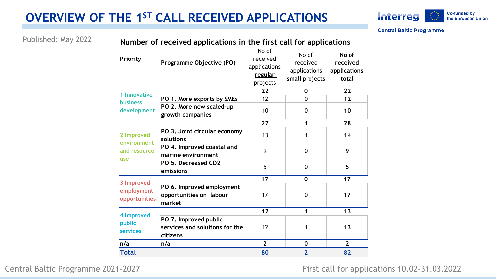## **OVERVIEW OF THE 1ST CALL RECEIVED APPLICATIONS**



**Central Baltic Programme** 

Published: May 2022 **Number of received applications in the first call for applications** 

| Priority                                         | Programme Objective (PO)                                            | No of<br>received<br>applications<br>regular<br>projects | No of<br>received<br>applications<br>small projects | No of<br>received<br>applications<br>total |
|--------------------------------------------------|---------------------------------------------------------------------|----------------------------------------------------------|-----------------------------------------------------|--------------------------------------------|
| 1 Innovative<br><b>business</b><br>development   |                                                                     | 22                                                       | 0                                                   | 22                                         |
|                                                  | PO 1. More exports by SMEs                                          | 12                                                       | 0                                                   | 12                                         |
|                                                  | PO 2. More new scaled-up<br>growth companies                        | 10                                                       | 0                                                   | 10                                         |
| 2 Improved<br>environment<br>and resource<br>use |                                                                     | 27                                                       | 1                                                   | 28                                         |
|                                                  | PO 3. Joint circular economy<br>solutions                           | 13                                                       | 1                                                   | 14                                         |
|                                                  | PO 4. Improved coastal and<br>marine environment                    | 9                                                        | $\Omega$                                            | 9                                          |
|                                                  | PO 5. Decreased CO2<br>emissions                                    | 5                                                        | $\Omega$                                            | 5                                          |
| 3 Improved<br>employment<br>opportunities        |                                                                     | 17                                                       | $\Omega$                                            | 17                                         |
|                                                  | PO 6. Improved employment<br>opportunities on labour<br>market      | 17                                                       | 0                                                   | 17                                         |
| 4 Improved<br>public<br>services                 |                                                                     | 12                                                       | 1                                                   | 13                                         |
|                                                  | PO 7. Improved public<br>services and solutions for the<br>citizens | 12                                                       | 1                                                   | 13                                         |
| n/a                                              | n/a                                                                 | $\overline{\phantom{a}}$                                 | 0                                                   | $\mathbf{2}$                               |
| <b>Total</b>                                     |                                                                     | 80                                                       | $\overline{2}$                                      | 82                                         |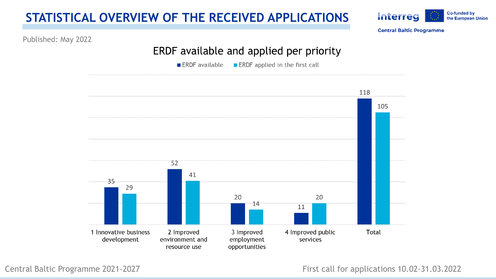#### **STATISTICAL OVERVIEW OF THE RECEIVED APPLICATIONS**



**Central Baltic Programme** 

Published: May 2022

#### **ERDF available and applied per priority**

■ ERDF available ■ ERDF applied in the first call

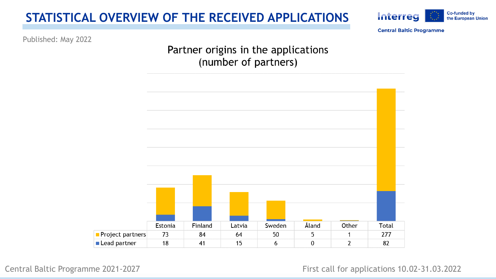#### **STATISTICAL OVERVIEW OF THE RECEIVED APPLICATIONS**



**Central Baltic Programme** 

Published: May 2022

**Partner origins in the applications (number of partners)**